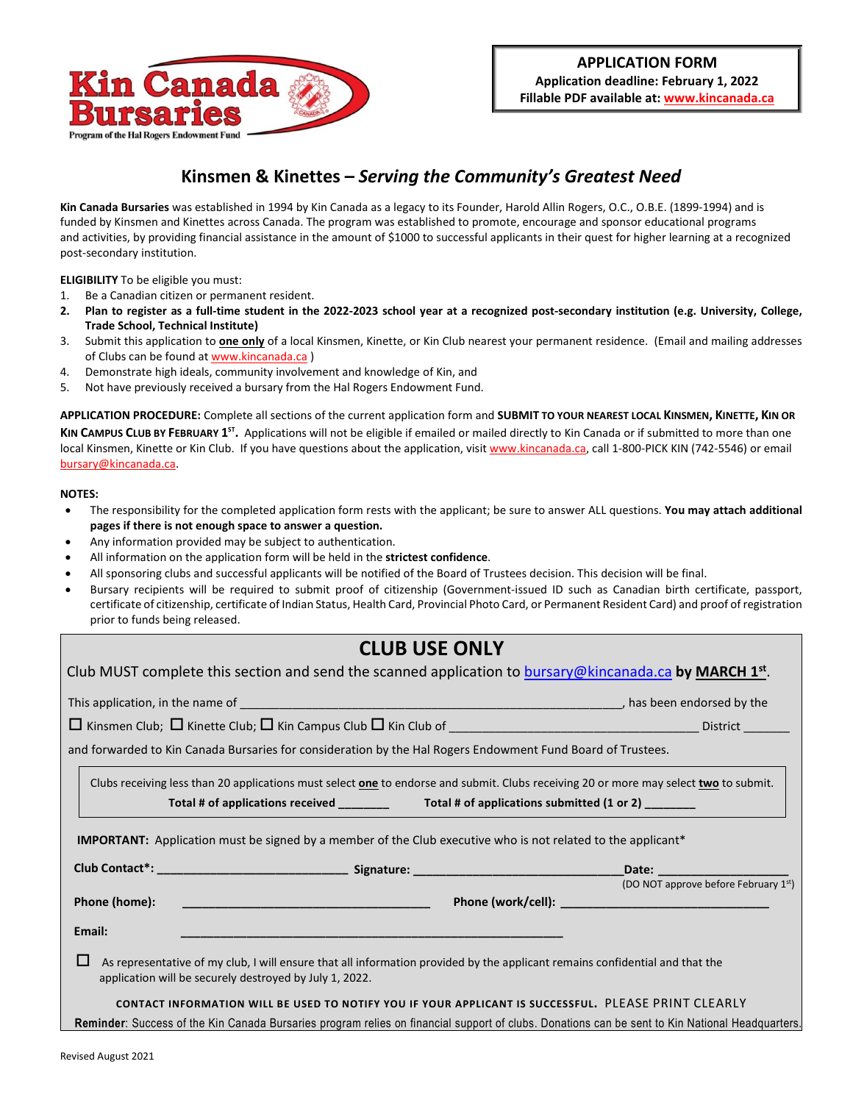

## **Kinsmen & Kinettes –** *Serving the Community's Greatest Need*

**Kin Canada Bursaries** was established in 1994 by Kin Canada as a legacy to its Founder, Harold Allin Rogers, O.C., O.B.E. (1899-1994) and is funded by Kinsmen and Kinettes across Canada. The program was established to promote, encourage and sponsor educational programs and activities, by providing financial assistance in the amount of \$1000 to successful applicants in their quest for higher learning at a recognized post-secondary institution.

**ELIGIBILITY** To be eligible you must:

- 1. Be a Canadian citizen or permanent resident.
- **2. Plan to register as a full-time student in the 2022-2023 school year at a recognized post-secondary institution (e.g. University, College, Trade School, Technical Institute)**
- 3. Submit this application to **one only** of a local Kinsmen, Kinette, or Kin Club nearest your permanent residence. (Email and mailing addresses of Clubs can be found at [www.kincanada.ca](http://www.kincanada.ca/) )
- 4. Demonstrate high ideals, community involvement and knowledge of Kin, and
- 5. Not have previously received a bursary from the Hal Rogers Endowment Fund.

**APPLICATION PROCEDURE:** Complete all sections of the current application form and **SUBMIT TO YOUR NEAREST LOCAL KINSMEN, KINETTE, KIN OR**  KIN CAMPUS CLUB BY FEBRUARY 1<sup>5T</sup>. Applications will not be eligible if emailed or mailed directly to Kin Canada or if submitted to more than one local Kinsmen, Kinette or Kin Club. If you have questions about the application, visit [www.kincanada.ca,](http://www.kincanada.ca/) call 1-800-PICK KIN (742-5546) or email [bursary@kincanada.ca.](mailto:bursary@kincanada.ca)

### **NOTES:**

- The responsibility for the completed application form rests with the applicant; be sure to answer ALL questions. **You may attach additional pages if there is not enough space to answer a question.**
- Any information provided may be subject to authentication.
- All information on the application form will be held in the **strictest confidence**.
- All sponsoring clubs and successful applicants will be notified of the Board of Trustees decision. This decision will be final.
- Bursary recipients will be required to submit proof of citizenship (Government-issued ID such as Canadian birth certificate, passport, certificate of citizenship, certificate of Indian Status, Health Card, Provincial Photo Card, or Permanent Resident Card) and proof of registration prior to funds being released.

# **CLUB USE ONLY**

|                                                                                                                                 | Club MUST complete this section and send the scanned application to bursary@kincanada.ca by MARCH $1st$ .                                           |
|---------------------------------------------------------------------------------------------------------------------------------|-----------------------------------------------------------------------------------------------------------------------------------------------------|
|                                                                                                                                 |                                                                                                                                                     |
|                                                                                                                                 |                                                                                                                                                     |
| and forwarded to Kin Canada Bursaries for consideration by the Hal Rogers Endowment Fund Board of Trustees.                     |                                                                                                                                                     |
|                                                                                                                                 | Clubs receiving less than 20 applications must select <b>one</b> to endorse and submit. Clubs receiving 20 or more may select <i>two</i> to submit. |
| <b>IMPORTANT:</b> Application must be signed by a member of the Club executive who is not related to the applicant <sup>*</sup> |                                                                                                                                                     |
|                                                                                                                                 |                                                                                                                                                     |
| Phone (home):                                                                                                                   | (DO NOT approve before February 1st)                                                                                                                |
| Email:                                                                                                                          |                                                                                                                                                     |
| ப<br>application will be securely destroyed by July 1, 2022.                                                                    | As representative of my club, I will ensure that all information provided by the applicant remains confidential and that the                        |
|                                                                                                                                 | CONTACT INFORMATION WILL BE USED TO NOTIFY YOU IF YOUR APPLICANT IS SUCCESSFUL. PLEASE PRINT CLEARLY                                                |
|                                                                                                                                 | Reminder: Success of the Kin Canada Bursaries program relies on financial support of clubs. Donations can be sent to Kin National Headquarters.     |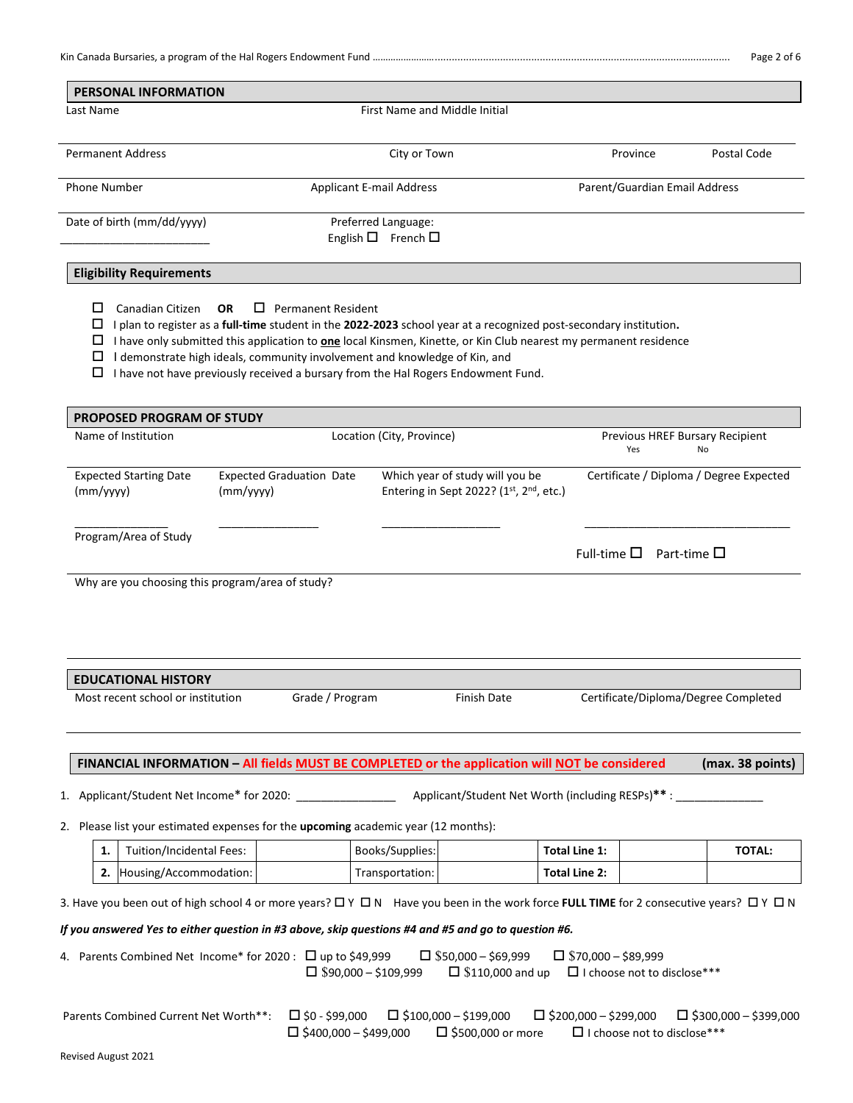| <b>PERSONAL INFORMATION</b>                                                                                                                                                                                                                                                                                                                                                                                                                              |           |                                                          |                                    |                                                                            |                              |                                    |                                         |
|----------------------------------------------------------------------------------------------------------------------------------------------------------------------------------------------------------------------------------------------------------------------------------------------------------------------------------------------------------------------------------------------------------------------------------------------------------|-----------|----------------------------------------------------------|------------------------------------|----------------------------------------------------------------------------|------------------------------|------------------------------------|-----------------------------------------|
| Last Name                                                                                                                                                                                                                                                                                                                                                                                                                                                |           |                                                          | First Name and Middle Initial      |                                                                            |                              |                                    |                                         |
|                                                                                                                                                                                                                                                                                                                                                                                                                                                          |           |                                                          |                                    |                                                                            |                              |                                    |                                         |
| <b>Permanent Address</b>                                                                                                                                                                                                                                                                                                                                                                                                                                 |           |                                                          | City or Town                       |                                                                            |                              | Province                           | Postal Code                             |
| <b>Phone Number</b>                                                                                                                                                                                                                                                                                                                                                                                                                                      |           |                                                          | <b>Applicant E-mail Address</b>    |                                                                            |                              | Parent/Guardian Email Address      |                                         |
| Date of birth (mm/dd/yyyy)                                                                                                                                                                                                                                                                                                                                                                                                                               |           |                                                          | Preferred Language:                |                                                                            |                              |                                    |                                         |
|                                                                                                                                                                                                                                                                                                                                                                                                                                                          |           |                                                          | English $\square$ French $\square$ |                                                                            |                              |                                    |                                         |
| <b>Eligibility Requirements</b>                                                                                                                                                                                                                                                                                                                                                                                                                          |           |                                                          |                                    |                                                                            |                              |                                    |                                         |
| □<br>Canadian Citizen<br>I plan to register as a full-time student in the 2022-2023 school year at a recognized post-secondary institution.<br>□<br>I have only submitted this application to <b>one</b> local Kinsmen, Kinette, or Kin Club nearest my permanent residence<br>ப<br>I demonstrate high ideals, community involvement and knowledge of Kin, and<br>ப<br>I have not have previously received a bursary from the Hal Rogers Endowment Fund. | <b>OR</b> | $\Box$ Permanent Resident                                |                                    |                                                                            |                              |                                    |                                         |
| PROPOSED PROGRAM OF STUDY                                                                                                                                                                                                                                                                                                                                                                                                                                |           |                                                          |                                    |                                                                            |                              |                                    |                                         |
| Name of Institution                                                                                                                                                                                                                                                                                                                                                                                                                                      |           |                                                          | Location (City, Province)          |                                                                            |                              | Yes                                | Previous HREF Bursary Recipient<br>No   |
| <b>Expected Starting Date</b><br>(mm/yyyy)                                                                                                                                                                                                                                                                                                                                                                                                               | (mm/yyyy) | <b>Expected Graduation Date</b>                          |                                    | Which year of study will you be<br>Entering in Sept 2022? (1st, 2nd, etc.) |                              |                                    | Certificate / Diploma / Degree Expected |
| Program/Area of Study                                                                                                                                                                                                                                                                                                                                                                                                                                    |           |                                                          |                                    |                                                                            | Full-time $\square$          | Part-time $\square$                |                                         |
|                                                                                                                                                                                                                                                                                                                                                                                                                                                          |           |                                                          |                                    |                                                                            |                              |                                    |                                         |
| <b>EDUCATIONAL HISTORY</b>                                                                                                                                                                                                                                                                                                                                                                                                                               |           |                                                          |                                    |                                                                            |                              |                                    |                                         |
| Most recent school or institution                                                                                                                                                                                                                                                                                                                                                                                                                        |           | Grade / Program                                          |                                    | <b>Finish Date</b>                                                         |                              |                                    | Certificate/Diploma/Degree Completed    |
| FINANCIAL INFORMATION - All fields MUST BE COMPLETED or the application will NOT be considered                                                                                                                                                                                                                                                                                                                                                           |           |                                                          |                                    |                                                                            |                              |                                    | (max. 38 points)                        |
| 1. Applicant/Student Net Income* for 2020:                                                                                                                                                                                                                                                                                                                                                                                                               |           |                                                          |                                    | Applicant/Student Net Worth (including RESPs)**:                           |                              |                                    |                                         |
| 2. Please list your estimated expenses for the <b>upcoming</b> academic year (12 months):                                                                                                                                                                                                                                                                                                                                                                |           |                                                          |                                    |                                                                            |                              |                                    |                                         |
| Tuition/Incidental Fees:<br>1.                                                                                                                                                                                                                                                                                                                                                                                                                           |           |                                                          | Books/Supplies:                    |                                                                            | <b>Total Line 1:</b>         |                                    | <b>TOTAL:</b>                           |
| Housing/Accommodation:<br>2.                                                                                                                                                                                                                                                                                                                                                                                                                             |           |                                                          | Transportation:                    |                                                                            | <b>Total Line 2:</b>         |                                    |                                         |
| 3. Have you been out of high school 4 or more years? $\Box$ Y $\Box$ N Have you been in the work force FULL TIME for 2 consecutive years? $\Box$ Y $\Box$ N<br>If you answered Yes to either question in #3 above, skip questions #4 and #5 and go to question #6.<br>4. Parents Combined Net Income* for 2020 : $\Box$ up to \$49,999                                                                                                                   |           | $\Box$ \$90,000 - \$109,999                              |                                    | $\Box$ \$50,000 - \$69,999<br>$\Box$ \$110,000 and up                      | $\Box$ \$70,000 - \$89,999   | $\Box$ I choose not to disclose*** |                                         |
| Parents Combined Current Net Worth**:                                                                                                                                                                                                                                                                                                                                                                                                                    |           | $\square$ \$0 - \$99,000<br>$\Box$ \$400,000 - \$499,000 |                                    | $\Box$ \$100,000 - \$199,000<br>□ \$500,000 or more                        | $\Box$ \$200,000 - \$299,000 | □ I choose not to disclose***      | $\Box$ \$300,000 - \$399,000            |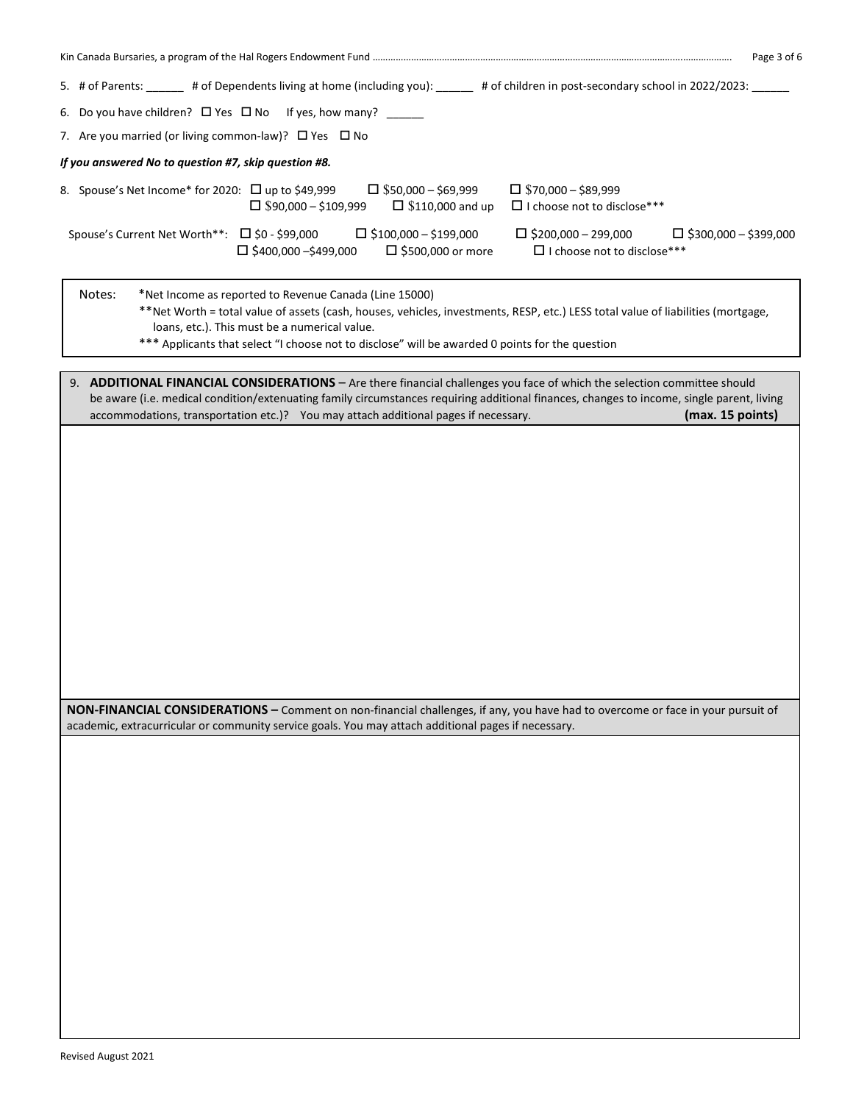| Page 3 of 6                                                                                                                                                                                                                                                                                                                                                                      |
|----------------------------------------------------------------------------------------------------------------------------------------------------------------------------------------------------------------------------------------------------------------------------------------------------------------------------------------------------------------------------------|
| 5. # of Parents: ______ # of Dependents living at home (including you): _____ # of children in post-secondary school in 2022/2023: _____                                                                                                                                                                                                                                         |
| 6. Do you have children? $\Box$ Yes $\Box$ No If yes, how many? _____                                                                                                                                                                                                                                                                                                            |
| 7. Are you married (or living common-law)? □ Yes □ No                                                                                                                                                                                                                                                                                                                            |
| If you answered No to question #7, skip question #8.                                                                                                                                                                                                                                                                                                                             |
| 8. Spouse's Net Income* for 2020: □ up to \$49,999<br>$\Box$ \$50,000 - \$69,999<br>$\Box$ \$70,000 - \$89,999<br>□ I choose not to disclose***<br>$\Box$ \$90,000 - \$109,999<br>$\square$ \$110,000 and up                                                                                                                                                                     |
| Spouse's Current Net Worth**: □ \$0 - \$99,000<br>$\Box$ \$100,000 - \$199,000<br>$\Box$ \$200,000 - 299,000<br>$\Box$ \$300,000 - \$399,000<br>$\square$ \$400,000 -\$499,000<br>$\Box$ \$500,000 or more<br>$\Box$ I choose not to disclose***                                                                                                                                 |
| Notes:<br>*Net Income as reported to Revenue Canada (Line 15000)<br>**Net Worth = total value of assets (cash, houses, vehicles, investments, RESP, etc.) LESS total value of liabilities (mortgage,<br>loans, etc.). This must be a numerical value.<br>*** Applicants that select "I choose not to disclose" will be awarded 0 points for the question                         |
|                                                                                                                                                                                                                                                                                                                                                                                  |
| 9. ADDITIONAL FINANCIAL CONSIDERATIONS - Are there financial challenges you face of which the selection committee should<br>be aware (i.e. medical condition/extenuating family circumstances requiring additional finances, changes to income, single parent, living<br>accommodations, transportation etc.)? You may attach additional pages if necessary.<br>(max. 15 points) |
|                                                                                                                                                                                                                                                                                                                                                                                  |
|                                                                                                                                                                                                                                                                                                                                                                                  |
|                                                                                                                                                                                                                                                                                                                                                                                  |
|                                                                                                                                                                                                                                                                                                                                                                                  |
|                                                                                                                                                                                                                                                                                                                                                                                  |
|                                                                                                                                                                                                                                                                                                                                                                                  |
|                                                                                                                                                                                                                                                                                                                                                                                  |
|                                                                                                                                                                                                                                                                                                                                                                                  |
|                                                                                                                                                                                                                                                                                                                                                                                  |
|                                                                                                                                                                                                                                                                                                                                                                                  |
|                                                                                                                                                                                                                                                                                                                                                                                  |
|                                                                                                                                                                                                                                                                                                                                                                                  |
| NON-FINANCIAL CONSIDERATIONS - Comment on non-financial challenges, if any, you have had to overcome or face in your pursuit of<br>academic, extracurricular or community service goals. You may attach additional pages if necessary.                                                                                                                                           |
|                                                                                                                                                                                                                                                                                                                                                                                  |
|                                                                                                                                                                                                                                                                                                                                                                                  |
|                                                                                                                                                                                                                                                                                                                                                                                  |
|                                                                                                                                                                                                                                                                                                                                                                                  |
|                                                                                                                                                                                                                                                                                                                                                                                  |
|                                                                                                                                                                                                                                                                                                                                                                                  |
|                                                                                                                                                                                                                                                                                                                                                                                  |
|                                                                                                                                                                                                                                                                                                                                                                                  |
|                                                                                                                                                                                                                                                                                                                                                                                  |
|                                                                                                                                                                                                                                                                                                                                                                                  |
|                                                                                                                                                                                                                                                                                                                                                                                  |
|                                                                                                                                                                                                                                                                                                                                                                                  |
|                                                                                                                                                                                                                                                                                                                                                                                  |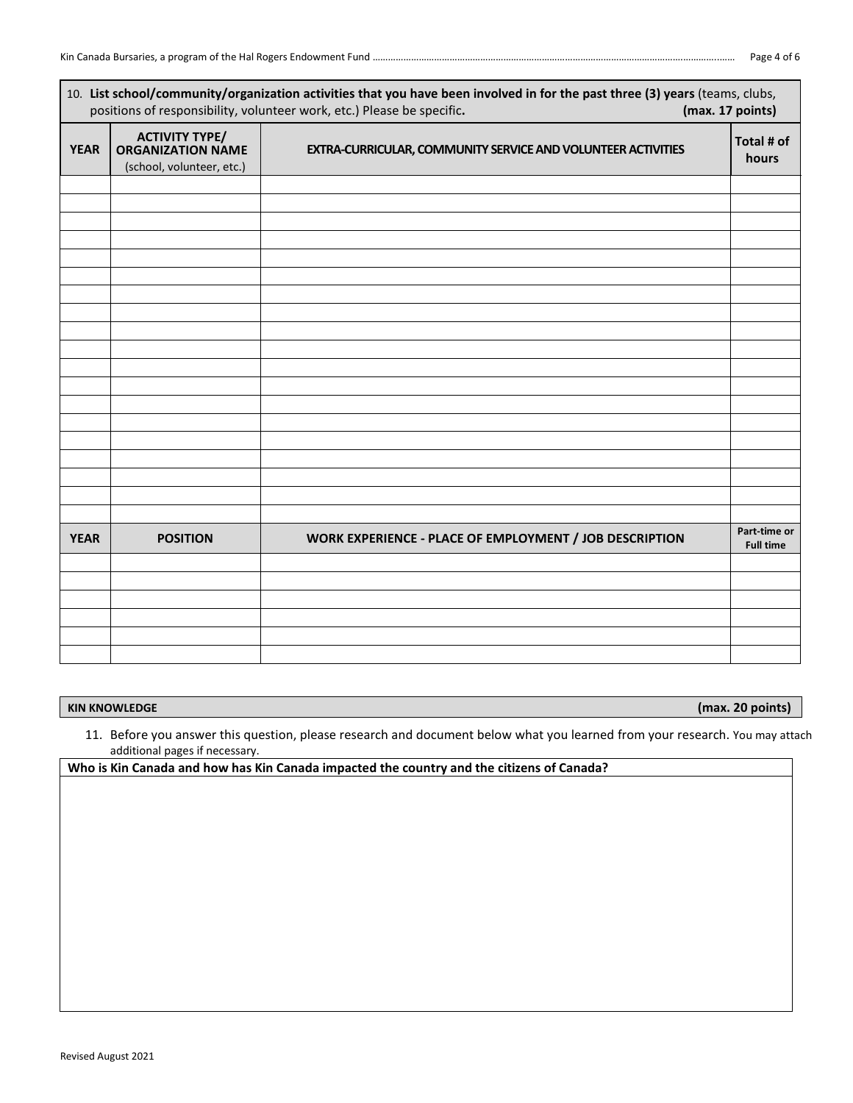|             |                                                                                | 10. List school/community/organization activities that you have been involved in for the past three (3) years (teams, clubs,<br>positions of responsibility, volunteer work, etc.) Please be specific. | (max. 17 points)                 |
|-------------|--------------------------------------------------------------------------------|--------------------------------------------------------------------------------------------------------------------------------------------------------------------------------------------------------|----------------------------------|
| <b>YEAR</b> | <b>ACTIVITY TYPE/</b><br><b>ORGANIZATION NAME</b><br>(school, volunteer, etc.) | EXTRA-CURRICULAR, COMMUNITY SERVICE AND VOLUNTEER ACTIVITIES                                                                                                                                           | Total # of<br>hours              |
|             |                                                                                |                                                                                                                                                                                                        |                                  |
|             |                                                                                |                                                                                                                                                                                                        |                                  |
|             |                                                                                |                                                                                                                                                                                                        |                                  |
|             |                                                                                |                                                                                                                                                                                                        |                                  |
|             |                                                                                |                                                                                                                                                                                                        |                                  |
|             |                                                                                |                                                                                                                                                                                                        |                                  |
|             |                                                                                |                                                                                                                                                                                                        |                                  |
|             |                                                                                |                                                                                                                                                                                                        |                                  |
|             |                                                                                |                                                                                                                                                                                                        |                                  |
|             |                                                                                |                                                                                                                                                                                                        |                                  |
|             |                                                                                |                                                                                                                                                                                                        |                                  |
|             |                                                                                |                                                                                                                                                                                                        |                                  |
|             |                                                                                |                                                                                                                                                                                                        |                                  |
|             |                                                                                |                                                                                                                                                                                                        |                                  |
|             |                                                                                |                                                                                                                                                                                                        |                                  |
|             |                                                                                |                                                                                                                                                                                                        |                                  |
|             |                                                                                |                                                                                                                                                                                                        |                                  |
| <b>YEAR</b> | <b>POSITION</b>                                                                | WORK EXPERIENCE - PLACE OF EMPLOYMENT / JOB DESCRIPTION                                                                                                                                                | Part-time or<br><b>Full time</b> |
|             |                                                                                |                                                                                                                                                                                                        |                                  |
|             |                                                                                |                                                                                                                                                                                                        |                                  |
|             |                                                                                |                                                                                                                                                                                                        |                                  |
|             |                                                                                |                                                                                                                                                                                                        |                                  |
|             |                                                                                |                                                                                                                                                                                                        |                                  |

**KIN KNOWLEDGE (max. 20 points)**

11. Before you answer this question, please research and document below what you learned from your research. You may attach additional pages if necessary.

**Who is Kin Canada and how has Kin Canada impacted the country and the citizens of Canada?**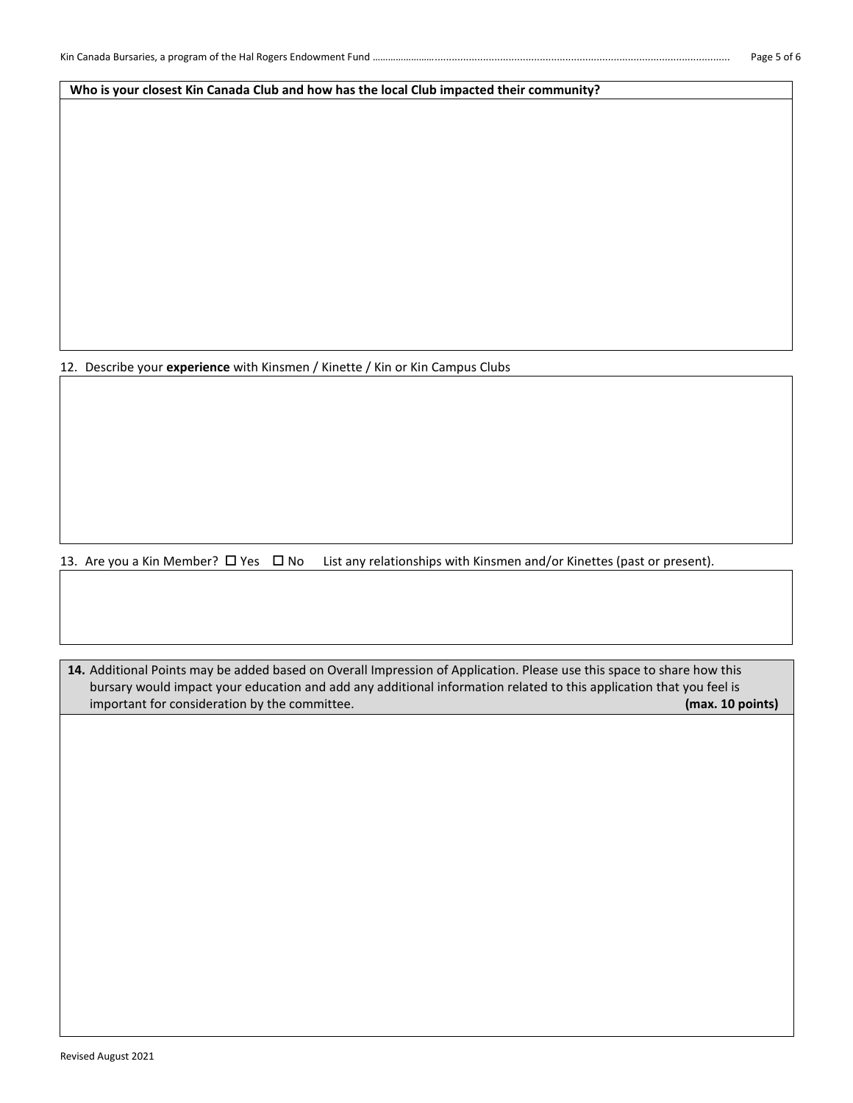**Who is your closest Kin Canada Club and how has the local Club impacted their community?**

12. Describe your **experience** with Kinsmen / Kinette / Kin or Kin Campus Clubs

13. Are you a Kin Member?  $\Box$  Yes  $\Box$  No List any relationships with Kinsmen and/or Kinettes (past or present).

**14.** Additional Points may be added based on Overall Impression of Application. Please use this space to share how this bursary would impact your education and add any additional information related to this application that you feel is important for consideration by the committee. **(max. 10 points)**